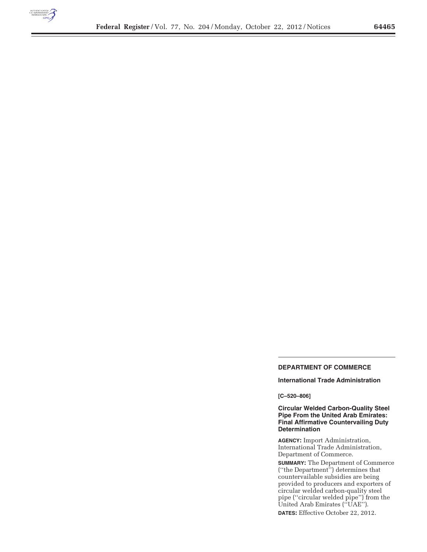

÷

# **DEPARTMENT OF COMMERCE**

# **International Trade Administration**

# **[C–520–806]**

# **Circular Welded Carbon-Quality Steel Pipe From the United Arab Emirates: Final Affirmative Countervailing Duty Determination**

**AGENCY:** Import Administration, International Trade Administration, Department of Commerce.

**SUMMARY:** The Department of Commerce (''the Department'') determines that countervailable subsidies are being provided to producers and exporters of circular welded carbon-quality steel pipe (''circular welded pipe'') from the United Arab Emirates (''UAE''). **DATES:** Effective October 22, 2012.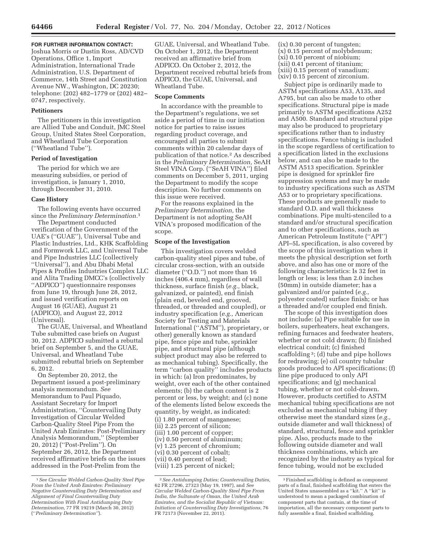## **FOR FURTHER INFORMATION CONTACT:**

Joshua Morris or Dustin Ross, AD/CVD Operations, Office 1, Import Administration, International Trade Administration, U.S. Department of Commerce, 14th Street and Constitution Avenue NW., Washington, DC 20230; telephone: (202) 482–1779 or (202) 482– 0747, respectively.

### **Petitioners**

The petitioners in this investigation are Allied Tube and Conduit, JMC Steel Group, United States Steel Corporation, and Wheatland Tube Corporation (''Wheatland Tube'').

#### **Period of Investigation**

The period for which we are measuring subsidies, or period of investigation, is January 1, 2010, through December 31, 2010.

# **Case History**

The following events have occurred since the *Preliminary Determination.*1

The Department conducted verification of the Government of the UAE's (''GUAE''), Universal Tube and Plastic Industries, Ltd., KHK Scaffolding and Formwork LLC, and Universal Tube and Pipe Industries LLC (collectively ''Universal''), and Abu Dhabi Metal Pipes & Profiles Industries Complex LLC and Alita Trading DMCC's (collectively ''ADPICO'') questionnaire responses from June 19, through June 28, 2012, and issued verification reports on August 16 (GUAE), August 21 (ADPICO), and August 22, 2012 (Universal).

The GUAE, Universal, and Wheatland Tube submitted case briefs on August 30, 2012. ADPICO submitted a rebuttal brief on September 5, and the GUAE, Universal, and Wheatland Tube submitted rebuttal briefs on September 6, 2012.

On September 20, 2012, the Department issued a post-preliminary analysis memorandum. *See*  Memorandum to Paul Piquado, Assistant Secretary for Import Administration, ''Countervailing Duty Investigation of Circular Welded Carbon-Quality Steel Pipe From the United Arab Emirates: Post-Preliminary Analysis Memorandum,'' (September 20, 2012) (''Post-Prelim''). On September 26, 2012, the Department received affirmative briefs on the issues addressed in the Post-Prelim from the

GUAE, Universal, and Wheatland Tube. On October 1, 2012, the Department received an affirmative brief from ADPICO. On October 2, 2012, the Department received rebuttal briefs from ADPICO, the GUAE, Universal, and Wheatland Tube.

#### **Scope Comments**

In accordance with the preamble to the Department's regulations, we set aside a period of time in our initiation notice for parties to raise issues regarding product coverage, and encouraged all parties to submit comments within 20 calendar days of publication of that notice.2 As described in the *Preliminary Determination,* SeAH Steel VINA Corp. (''SeAH VINA'') filed comments on December 5, 2011, urging the Department to modify the scope description. No further comments on this issue were received.

For the reasons explained in the *Preliminary Determination,* the Department is not adopting SeAH VINA's proposed modification of the scope.

#### **Scope of the Investigation**

This investigation covers welded carbon-quality steel pipes and tube, of circular cross-section, with an outside diameter (''O.D.'') not more than 16 inches (406.4 mm), regardless of wall thickness, surface finish (*e.g.,* black, galvanized, or painted), end finish (plain end, beveled end, grooved, threaded, or threaded and coupled), or industry specification (*e.g.,* American Society for Testing and Materials International (''ASTM''), proprietary, or other) generally known as standard pipe, fence pipe and tube, sprinkler pipe, and structural pipe (although subject product may also be referred to as mechanical tubing). Specifically, the term ''carbon quality'' includes products in which: (a) Iron predominates, by weight, over each of the other contained elements; (b) the carbon content is 2 percent or less, by weight; and (c) none of the elements listed below exceeds the quantity, by weight, as indicated:

(i) 1.80 percent of manganese; (ii) 2.25 percent of silicon; (iii) 1.00 percent of copper; (iv) 0.50 percent of aluminum; (v) 1.25 percent of chromium; (vi) 0.30 percent of cobalt; (vii) 0.40 percent of lead; (viii) 1.25 percent of nickel;

(ix) 0.30 percent of tungsten; (x) 0.15 percent of molybdenum; (xi) 0.10 percent of niobium; (xii) 0.41 percent of titanium; (xiii) 0.15 percent of vanadium; (xiv) 0.15 percent of zirconium.

Subject pipe is ordinarily made to ASTM specifications A53, A135, and A795, but can also be made to other specifications. Structural pipe is made primarily to ASTM specifications A252 and A500. Standard and structural pipe may also be produced to proprietary specifications rather than to industry specifications. Fence tubing is included in the scope regardless of certification to a specification listed in the exclusions below, and can also be made to the ASTM A513 specification. Sprinkler pipe is designed for sprinkler fire suppression systems and may be made to industry specifications such as ASTM A53 or to proprietary specifications. These products are generally made to standard O.D. and wall thickness combinations. Pipe multi-stenciled to a standard and/or structural specification and to other specifications, such as American Petroleum Institute (''API'') API–5L specification, is also covered by the scope of this investigation when it meets the physical description set forth above, and also has one or more of the following characteristics: Is 32 feet in length or less; is less than 2.0 inches (50mm) in outside diameter; has a galvanized and/or painted (*e.g.,*  polyester coated) surface finish; or has a threaded and/or coupled end finish.

The scope of this investigation does not include: (a) Pipe suitable for use in boilers, superheaters, heat exchangers, refining furnaces and feedwater heaters, whether or not cold drawn; (b) finished electrical conduit; (c) finished scaffolding 3; (d) tube and pipe hollows for redrawing; (e) oil country tubular goods produced to API specifications; (f) line pipe produced to only API specifications; and (g) mechanical tubing, whether or not cold-drawn. However, products certified to ASTM mechanical tubing specifications are not excluded as mechanical tubing if they otherwise meet the standard sizes (*e.g.,*  outside diameter and wall thickness) of standard, structural, fence and sprinkler pipe. Also, products made to the following outside diameter and wall thickness combinations, which are recognized by the industry as typical for fence tubing, would not be excluded

<sup>1</sup>*See Circular Welded Carbon-Quality Steel Pipe From the United Arab Emirates: Preliminary Negative Countervailing Duty Determination and Alignment of Final Countervailing Duty Determination With Final Antidumping Duty Determination,* 77 FR 19219 (March 30, 2012) (''*Preliminary Determination''*).

<sup>2</sup>*See Antidumping Duties; Countervailing Duties,*  62 FR 27296, 27323 (May 19, 1997), and *See Circular Welded Carbon-Quality Steel Pipe From India, the Sultanate of Oman, the United Arab Emirates, and the Socialist Republic of Vietnam: Initiation of Countervailing Duty Investigations,* 76 FR 72173 (November 22, 2011).

<sup>3</sup>Finished scaffolding is defined as component parts of a final, finished scaffolding that enters the United States unassembled as a ''kit.'' A ''kit'' is understood to mean a packaged combination of component parts that contain, at the time of importation, all the necessary component parts to fully assemble a final, finished scaffolding.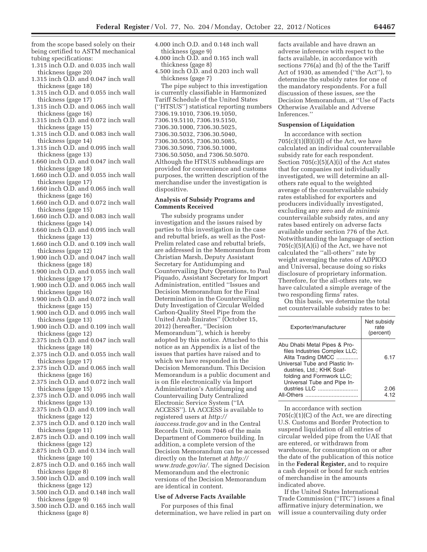from the scope based solely on their being certified to ASTM mechanical tubing specifications:

- 1.315 inch O.D. and 0.035 inch wall thickness (gage 20)
- 1.315 inch O.D. and 0.047 inch wall thickness (gage 18)
- 1.315 inch O.D. and 0.055 inch wall thickness (gage 17)
- 1.315 inch O.D. and 0.065 inch wall thickness (gage 16)
- 1.315 inch O.D. and 0.072 inch wall thickness (gage 15)
- 1.315 inch O.D. and 0.083 inch wall thickness (gage 14)
- 1.315 inch O.D. and 0.095 inch wall thickness (gage 13)
- 1.660 inch O.D. and 0.047 inch wall thickness (gage 18)
- 1.660 inch O.D. and 0.055 inch wall thickness (gage 17)
- 1.660 inch O.D. and 0.065 inch wall thickness (gage 16)
- 1.660 inch O.D. and 0.072 inch wall thickness (gage 15)
- 1.660 inch O.D. and 0.083 inch wall thickness (gage 14)
- 1.660 inch O.D. and 0.095 inch wall thickness (gage 13)
- 1.660 inch O.D. and 0.109 inch wall thickness (gage 12)
- 1.900 inch O.D. and 0.047 inch wall thickness (gage 18)
- 1.900 inch O.D. and 0.055 inch wall thickness (gage 17)
- 1.900 inch O.D. and 0.065 inch wall thickness (gage 16)
- 1.900 inch O.D. and 0.072 inch wall thickness (gage 15)
- 1.900 inch O.D. and 0.095 inch wall thickness (gage 13)
- 1.900 inch O.D. and 0.109 inch wall thickness (gage 12)
- 2.375 inch O.D. and 0.047 inch wall thickness (gage 18)
- 2.375 inch O.D. and 0.055 inch wall thickness (gage 17)
- 2.375 inch O.D. and 0.065 inch wall thickness (gage 16)
- 2.375 inch O.D. and 0.072 inch wall thickness (gage 15)
- 2.375 inch O.D. and 0.095 inch wall thickness (gage 13)
- 2.375 inch O.D. and 0.109 inch wall thickness (gage 12)
- 2.375 inch O.D. and 0.120 inch wall thickness (gage 11)
- 2.875 inch O.D. and 0.109 inch wall thickness (gage 12)
- 2.875 inch O.D. and 0.134 inch wall thickness (gage 10)
- 2.875 inch O.D. and 0.165 inch wall thickness (gage 8)
- 3.500 inch O.D. and 0.109 inch wall thickness (gage 12)
- 3.500 inch O.D. and 0.148 inch wall thickness (gage 9)
- 3.500 inch O.D. and 0.165 inch wall thickness (gage 8)
- 4.000 inch O.D. and 0.148 inch wall thickness (gage 9)
- 4.000 inch O.D. and 0.165 inch wall thickness (gage 8)
- 4.500 inch O.D. and 0.203 inch wall thickness (gage 7)

The pipe subject to this investigation is currently classifiable in Harmonized Tariff Schedule of the United States (''HTSUS'') statistical reporting numbers 7306.19.1010, 7306.19.1050, 7306.19.5110, 7306.19.5150, 7306.30.1000, 7306.30.5025, 7306.30.5032, 7306.30.5040, 7306.30.5055, 7306.30.5085, 7306.30.5090, 7306.50.1000, 7306.50.5050, and 7306.50.5070. Although the HTSUS subheadings are provided for convenience and customs purposes, the written description of the merchandise under the investigation is dispositive.

# **Analysis of Subsidy Programs and Comments Received**

The subsidy programs under investigation and the issues raised by parties to this investigation in the case and rebuttal briefs, as well as the Post-Prelim related case and rebuttal briefs, are addressed in the Memorandum from Christian Marsh, Deputy Assistant Secretary for Antidumping and Countervailing Duty Operations, to Paul Piquado, Assistant Secretary for Import Administration, entitled ''Issues and Decision Memorandum for the Final Determination in the Countervailing Duty Investigation of Circular Welded Carbon-Quality Steel Pipe from the United Arab Emirates'' (October 15, 2012) (hereafter, ''Decision Memorandum''), which is hereby adopted by this notice. Attached to this notice as an Appendix is a list of the issues that parties have raised and to which we have responded in the Decision Memorandum. This Decision Memorandum is a public document and is on file electronically via Import Administration's Antidumping and Countervailing Duty Centralized Electronic Service System (''IA ACCESS''). IA ACCESS is available to registered users at *http:// iaaccess.trade.gov* and in the Central Records Unit, room 7046 of the main Department of Commerce building. In addition, a complete version of the Decision Memorandum can be accessed directly on the Internet at *http:// www.trade.gov/ia/.* The signed Decision Memorandum and the electronic versions of the Decision Memorandum are identical in content.

# **Use of Adverse Facts Available**

For purposes of this final determination, we have relied in part on

facts available and have drawn an adverse inference with respect to the facts available, in accordance with sections 776(a) and (b) of the the Tariff Act of 1930, as amended (''the Act''), to determine the subsidy rates for one of the mandatory respondents. For a full discussion of these issues, *see* the Decision Memorandum, at ''Use of Facts Otherwise Available and Adverse Inferences.''

### **Suspension of Liquidation**

In accordance with section  $705(c)(1)(B)(i)(I)$  of the Act, we have calculated an individual countervailable subsidy rate for each respondent. Section 705(c)(5)(A)(i) of the Act states that for companies not individually investigated, we will determine an allothers rate equal to the weighted average of the countervailable subsidy rates established for exporters and producers individually investigated, excluding any zero and *de minimis*  countervailable subsidy rates, and any rates based entirely on adverse facts available under section 776 of the Act. Notwithstanding the language of section  $705(c)(5)(A)(i)$  of the Act, we have not calculated the ''all-others'' rate by weight averaging the rates of ADPICO and Universal, because doing so risks disclosure of proprietary information. Therefore, for the all-others rate, we have calculated a simple average of the two responding firms' rates.

On this basis, we determine the total net countervailable subsidy rates to be:

| Exporter/manufacturer                                                                                                                                                                                          | Net subsidy<br>rate<br>(percent) |
|----------------------------------------------------------------------------------------------------------------------------------------------------------------------------------------------------------------|----------------------------------|
| Abu Dhabi Metal Pipes & Pro-<br>files Industries Complex LLC;<br>Alita Trading DMCC<br>Universal Tube and Plastic In-<br>dustries, Ltd.; KHK Scaf-<br>folding and Formwork LLC;<br>Universal Tube and Pipe In- | 6.17                             |
| dustries LLC<br>All-Others                                                                                                                                                                                     | 2.06<br>4.12                     |

In accordance with section 705(c)(1)(C) of the Act, we are directing U.S. Customs and Border Protection to suspend liquidation of all entries of circular welded pipe from the UAE that are entered, or withdrawn from warehouse, for consumption on or after the date of the publication of this notice in the **Federal Register,** and to require a cash deposit or bond for such entries of merchandise in the amounts indicated above.

If the United States International Trade Commission (''ITC'') issues a final affirmative injury determination, we will issue a countervailing duty order